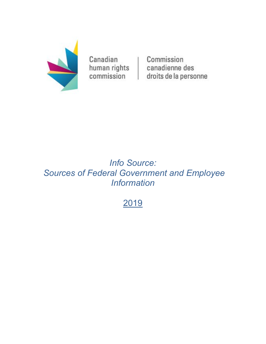

Canadian human rights commission

Commission canadienne des droits de la personne

# *Info Source: Sources of Federal Government and Employee Information*

2019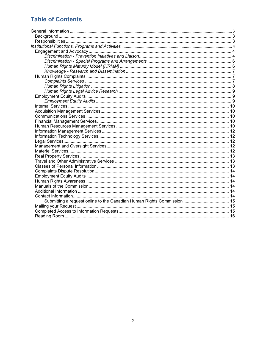## **Table of Contents**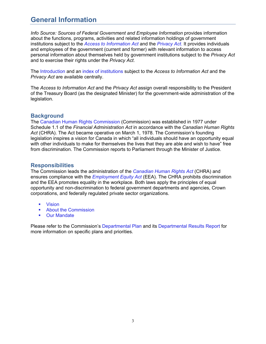## <span id="page-2-0"></span>**General Information**

*Info Source: Sources of Federal Government and Employee Information* provides information about the functions, programs, activities and related information holdings of government institutions subject to the *[Access to Information Act](http://laws-lois.justice.gc.ca/eng/acts/A-1/)* and the *[Privacy Act](http://laws-lois.justice.gc.ca/eng/acts/P-21/)*. It provides individuals and employees of the government (current and former) with relevant information to access personal information about themselves held by government institutions subject to the *Privacy Act*  and to exercise their rights under the *Privacy Act*.

The [Introduction](https://www.canada.ca/en/treasury-board-secretariat/services/access-information-privacy/access-information/information-about-programs-information-holdings.html) and an [index of institutions](https://www.canada.ca/en/treasury-board-secretariat/services/access-information-privacy/access-information/information-about-programs-information-holdings/sources-federal-government-employee-information.html) subject to the *Access to Information Act* and the *Privacy Act* are available centrally.

The *Access to Information Act* and the *Privacy Act* assign overall responsibility to the President of the Treasury Board (as the designated Minister) for the government-wide administration of the legislation.

#### <span id="page-2-1"></span>**Background**

The [Canadian Human Rights Commission](http://www.chrc-ccdp.gc.ca/eng) (Commission) was established in 1977 under Schedule 1.1 of the *Financial Administration Act* in accordance with the *Canadian Human Rights Act* (CHRA). The Act became operative on March 1, 1978. The Commission's founding legislation inspires a vision for Canada in which "all individuals should have an opportunity equal with other individuals to make for themselves the lives that they are able and wish to have" free from discrimination. The Commission reports to Parliament through the Minister of Justice.

#### <span id="page-2-2"></span>**Responsibilities**

The Commission leads the administration of the *[Canadian Human Rights Act](http://laws-lois.justice.gc.ca/eng/acts/h-6/)* (CHRA) and ensures compliance with the *[Employment Equity Act](http://laws-lois.justice.gc.ca/eng/acts/e-5.401/)* (EEA). The CHRA prohibits discrimination and the EEA promotes equality in the workplace. Both laws apply the principles of equal opportunity and non-discrimination to federal government departments and agencies, Crown corporations, and federally regulated private sector organizations.

- [Vision](http://www.chrc-ccdp.gc.ca/eng/content/about-us)
- [About the Commission](http://www.chrc-ccdp.gc.ca/eng/content/about-us)
- [Our Mandate](http://www.chrc-ccdp.gc.ca/eng/content/about-us)

Please refer to the Commission's [Departmental Plan](https://www.chrc-ccdp.gc.ca/eng/content/departmental-plan-2017-18) and its [Departmental Results Report](https://www.chrc-ccdp.gc.ca/eng/content/2017-18-departmental-results-report) for more information on specific plans and priorities.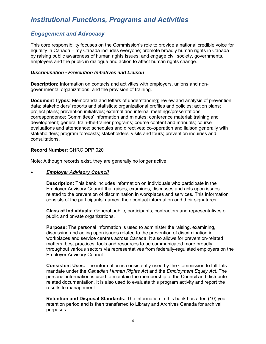### <span id="page-3-1"></span><span id="page-3-0"></span>*Engagement and Advocacy*

This core responsibility focuses on the Commission's role to provide a national credible voice for equality in Canada – my Canada includes everyone; promote broadly human rights in Canada by raising public awareness of human rights issues; and engage civil society, governments, employers and the public in dialogue and action to affect human rights change.

#### <span id="page-3-2"></span>*Discrimination - Prevention Initiatives and Liaison*

**Description:** Information on contacts and activities with employers, unions and nongovernmental organizations, and the provision of training.

**Document Types:** Memoranda and letters of understanding; review and analysis of prevention data; stakeholders' reports and statistics; organizational profiles and policies; action plans; project plans; prevention initiatives; external and internal meetings/presentations; correspondence; Committees' information and minutes; conference material; training and development; general train-the-trainer programs; course content and manuals; course evaluations and attendance; schedules and directives; co-operation and liaison generally with stakeholders; program forecasts; stakeholders' visits and tours; prevention inquiries and consultations.

#### **Record Number:** CHRC DPP 020

Note: Although records exist, they are generally no longer active.

#### • *Employer Advisory Council*

**Description:** This bank includes information on individuals who participate in the Employer Advisory Council that raises, examines, discusses and acts upon issues related to the prevention of discrimination in workplaces and services. This information consists of the participants' names, their contact information and their signatures.

**Class of Individuals:** General public, participants, contractors and representatives of public and private organizations.

**Purpose:** The personal information is used to administer the raising, examining, discussing and acting upon issues related to the prevention of discrimination in workplaces and service centres across Canada. It also allows for prevention-related matters, best practices, tools and resources to be communicated more broadly throughout various sectors via representatives from federally-regulated employers on the Employer Advisory Council.

**Consistent Uses:** The information is consistently used by the Commission to fulfill its mandate under the *Canadian Human Rights Act* and the *Employment Equity Act*. The personal information is used to maintain the membership of the Council and distribute related documentation. It is also used to evaluate this program activity and report the results to management.

**Retention and Disposal Standards:** The information in this bank has a ten (10) year retention period and is then transferred to Library and Archives Canada for archival purposes.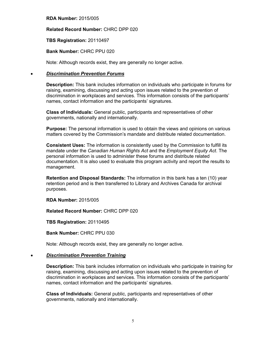**RDA Number:** 2015/005

#### **Related Record Number:** CHRC DPP 020

#### **TBS Registration:** 20110497

#### **Bank Number:** CHRC PPU 020

Note: Although records exist, they are generally no longer active.

#### • *Discrimination Prevention Forums*

**Description:** This bank includes information on individuals who participate in forums for raising, examining, discussing and acting upon issues related to the prevention of discrimination in workplaces and services. This information consists of the participants' names, contact information and the participants' signatures.

**Class of Individuals:** General public, participants and representatives of other governments, nationally and internationally.

**Purpose:** The personal information is used to obtain the views and opinions on various matters covered by the Commission's mandate and distribute related documentation.

**Consistent Uses:** The information is consistently used by the Commission to fulfill its mandate under the *Canadian Human Rights Act* and the *Employment Equity Act*. The personal information is used to administer these forums and distribute related documentation. It is also used to evaluate this program activity and report the results to management.

**Retention and Disposal Standards:** The information in this bank has a ten (10) year retention period and is then transferred to Library and Archives Canada for archival purposes.

**RDA Number:** 2015/005

**Related Record Number:** CHRC DPP 020

**TBS Registration:** 20110495

**Bank Number:** CHRC PPU 030

Note: Although records exist, they are generally no longer active.

#### • *Discrimination Prevention Training*

**Description:** This bank includes information on individuals who participate in training for raising, examining, discussing and acting upon issues related to the prevention of discrimination in workplaces and services. This information consists of the participants' names, contact information and the participants' signatures.

**Class of Individuals:** General public, participants and representatives of other governments, nationally and internationally.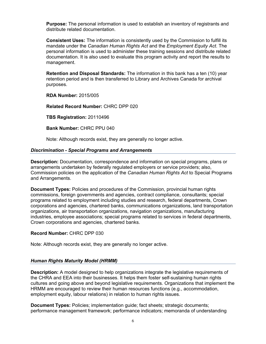**Purpose:** The personal information is used to establish an inventory of registrants and distribute related documentation.

**Consistent Uses:** The information is consistently used by the Commission to fulfill its mandate under the *Canadian Human Rights Act* and the *Employment Equity Act*. The personal information is used to administer these training sessions and distribute related documentation. It is also used to evaluate this program activity and report the results to management.

**Retention and Disposal Standards:** The information in this bank has a ten (10) year retention period and is then transferred to Library and Archives Canada for archival purposes.

**RDA Number:** 2015/005

**Related Record Number:** CHRC DPP 020

**TBS Registration:** 20110496

**Bank Number:** CHRC PPU 040

Note: Although records exist, they are generally no longer active.

#### <span id="page-5-0"></span>*Discrimination - Special Programs and Arrangements*

**Description:** Documentation, correspondence and information on special programs, plans or arrangements undertaken by federally regulated employers or service providers; also, Commission policies on the application of the *Canadian Human Rights Act* to Special Programs and Arrangements.

**Document Types:** Policies and procedures of the Commission, provincial human rights commissions, foreign governments and agencies, contract compliance, consultants; special programs related to employment including studies and research, federal departments, Crown corporations and agencies, chartered banks, communications organizations, land transportation organizations, air transportation organizations, navigation organizations, manufacturing industries, employee associations; special programs related to services in federal departments, Crown corporations and agencies, chartered banks.

#### **Record Number:** CHRC DPP 030

Note: Although records exist, they are generally no longer active.

#### <span id="page-5-1"></span>*Human Rights Maturity Model (HRMM)*

**Description:** A model designed to help organizations integrate the legislative requirements of the CHRA and EEA into their businesses. It helps them foster self-sustaining human rights cultures and going above and beyond legislative requirements. Organizations that implement the HRMM are encouraged to review their human resources functions (e.g., accommodation, employment equity, labour relations) in relation to human rights issues.

**Document Types:** Policies; implementation guide; fact sheets; strategic documents; performance management framework; performance indicators; memoranda of understanding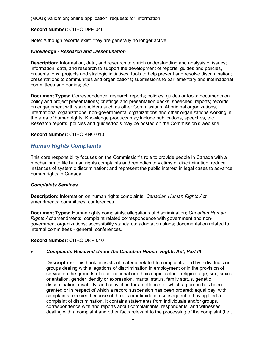(MOU); validation; online application; requests for information.

#### **Record Number:** CHRC DPP 040

Note: Although records exist, they are generally no longer active.

#### <span id="page-6-0"></span>*Knowledge - Research and Dissemination*

**Description:** Information, data, and research to enrich understanding and analysis of issues; information, data, and research to support the development of reports, guides and policies, presentations, projects and strategic initiatives; tools to help prevent and resolve discrimination; presentations to communities and organizations; submissions to parliamentary and international committees and bodies; etc.

**Document Types:** Correspondence; research reports; policies, guides or tools; documents on policy and project presentations; briefings and presentation decks; speeches; reports; records on engagement with stakeholders such as other Commissions, Aboriginal organizations, international organizations, non-governmental organizations and other organizations working in the area of human rights. Knowledge products may include publications, speeches, etc. Research reports, policies and guides/tools may be posted on the Commission's web site.

#### **Record Number:** CHRC KNO 010

### <span id="page-6-1"></span>*Human Rights Complaints*

This core responsibility focuses on the Commission's role to provide people in Canada with a mechanism to file human rights complaints and remedies to victims of discrimination; reduce instances of systemic discrimination; and represent the public interest in legal cases to advance human rights in Canada.

#### <span id="page-6-2"></span>*Complaints Services*

**Description:** Information on human rights complaints; *Canadian Human Rights Act* amendments; committees; conferences.

**Document Types:** Human rights complaints; allegations of discrimination; *Canadian Human Rights Act* amendments; complaint related correspondence with government and nongovernment organizations; accessibility standards; adaptation plans; documentation related to internal committees - general; conferences.

#### **Record Number:** CHRC DRP 010

#### • *Complaints Received Under the Canadian Human Rights Act, Part III*

**Description:** This bank consists of material related to complaints filed by individuals or groups dealing with allegations of discrimination in employment or in the provision of service on the grounds of race, national or ethnic origin, colour, religion, age, sex, sexual orientation, gender identity or expression, marital status, family status, genetic discrimination, disability, and conviction for an offence for which a pardon has been granted or in respect of which a record suspension has been ordered; equal pay; with complaints received because of threats or intimidation subsequent to having filed a complaint of discrimination. It contains statements from individuals and/or groups, correspondence with and reports about complainants, respondents, and witnesses dealing with a complaint and other facts relevant to the processing of the complaint (i.e.,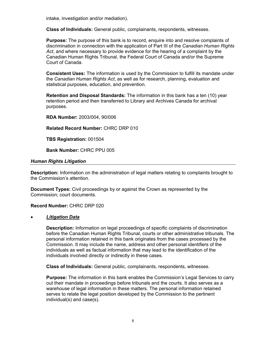intake, investigation and/or mediation).

**Class of Individuals:** General public, complainants, respondents, witnesses.

**Purpose:** The purpose of this bank is to record, enquire into and resolve complaints of discrimination in connection with the application of Part III of the *Canadian Human Rights Act*, and where necessary to provide evidence for the hearing of a complaint by the Canadian Human Rights Tribunal, the Federal Court of Canada and/or the Supreme Court of Canada.

**Consistent Uses:** The information is used by the Commission to fulfill its mandate under the *Canadian Human Rights Act*, as well as for research, planning, evaluation and statistical purposes, education, and prevention.

**Retention and Disposal Standards:** The information in this bank has a ten (10) year retention period and then transferred to Library and Archives Canada for archival purposes.

**RDA Number:** 2003/004, 90/006

**Related Record Number:** CHRC DRP 010

**TBS Registration:** 001504

**Bank Number:** CHRC PPU 005

#### <span id="page-7-0"></span>*Human Rights Litigation*

**Description:** Information on the administration of legal matters relating to complaints brought to the Commission's attention.

**Document Types:** Civil proceedings by or against the Crown as represented by the Commission; court documents.

**Record Number:** CHRC DRP 020

#### • *Litigation Data*

**Description:** Information on legal proceedings of specific complaints of discrimination before the Canadian Human Rights Tribunal, courts or other administrative tribunals. The personal information retained in this bank originates from the cases processed by the Commission. It may include the name, address and other personal identifiers of the individuals as well as factual information that may lead to the identification of the individuals involved directly or indirectly in these cases.

**Class of Individuals:** General public, complainants, respondents, witnesses.

**Purpose:** The information in this bank enables the Commission's Legal Services to carry out their mandate in proceedings before tribunals and the courts. It also serves as a warehouse of legal information in these matters. The personal information retained serves to relate the legal position developed by the Commission to the pertinent individual(s) and case(s).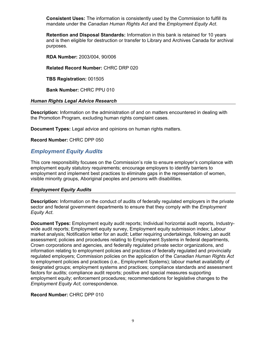**Consistent Uses:** The information is consistently used by the Commission to fulfill its mandate under the *Canadian Human Rights Act* and the *Employment Equity Act*.

**Retention and Disposal Standards:** Information in this bank is retained for 10 years and is then eligible for destruction or transfer to Library and Archives Canada for archival purposes.

**RDA Number:** 2003/004, 90/006

**Related Record Number:** CHRC DRP 020

**TBS Registration:** 001505

**Bank Number:** CHRC PPU 010

#### <span id="page-8-0"></span>*Human Rights Legal Advice Research*

**Description:** Information on the administration of and on matters encountered in dealing with the Promotion Program, excluding human rights complaint cases.

**Document Types:** Legal advice and opinions on human rights matters.

**Record Number:** CHRC DPP 050

### <span id="page-8-1"></span>*Employment Equity Audits*

This core responsibility focuses on the Commission's role to ensure employer's compliance with employment equity statutory requirements; encourage employers to identify barriers to employment and implement best practices to eliminate gaps in the representation of women, visible minority groups, Aboriginal peoples and persons with disabilities.

#### <span id="page-8-2"></span>*Employment Equity Audits*

**Description:** Information on the conduct of audits of federally regulated employers in the private sector and federal government departments to ensure that they comply with the *Employment Equity Act*.

**Document Types:** Employment equity audit reports; Individual horizontal audit reports, Industrywide audit reports; Employment equity survey, Employment equity submission index; Labour market analysis; Notification letter for an audit; Letter requiring undertakings, following an audit assessment; policies and procedures relating to Employment Systems in federal departments, Crown corporations and agencies, and federally regulated private sector organizations, and information relating to employment policies and practices of federally regulated and provincially regulated employers; Commission policies on the application of the *Canadian Human Rights Act* to employment policies and practices (i.e., Employment Systems); labour market availability of designated groups; employment systems and practices; compliance standards and assessment factors for audits; compliance audit reports; positive and special measures supporting employment equity; enforcement procedures; recommendations for legislative changes to the *Employment Equity Act*; correspondence.

#### **Record Number:** CHRC DPP 010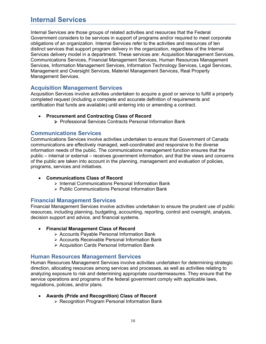## <span id="page-9-0"></span>**Internal Services**

Internal Services are those groups of related activities and resources that the Federal Government considers to be services in support of programs and/or required to meet corporate obligations of an organization. Internal Services refer to the activities and resources of ten distinct services that support program delivery in the organization, regardless of the Internal Services delivery model in a department. These services are: Acquisition Management Services, Communications Services, Financial Management Services, Human Resources Management Services, Information Management Services, Information Technology Services, Legal Services, Management and Oversight Services, Materiel Management Services, Real Property Management Services.

#### <span id="page-9-1"></span>**Acquisition Management Services**

Acquisition Services involve activities undertaken to acquire a good or service to fulfill a properly completed request (including a complete and accurate definition of requirements and certification that funds are available) until entering into or amending a contract.

- **[Procurement and Contracting Class of Record](https://www.canada.ca/en/treasury-board-secretariat/services/access-information-privacy/access-information/information-about-programs-information-holdings/standard-classes-records.html#prn912)**
	- Professional [Services Contracts Personal Information Bank](https://www.canada.ca/en/treasury-board-secretariat/services/access-information-privacy/access-information/information-about-programs-information-holdings/standard-personal-information-banks.html#psu912)

#### <span id="page-9-2"></span>**Communications Services**

Communications Services involve activities undertaken to ensure that Government of Canada communications are effectively managed, well-coordinated and responsive to the diverse information needs of the public. The communications management function ensures that the public – internal or external – receives government information, and that the views and concerns of the public are taken into account in the planning, management and evaluation of policies, programs, services and initiatives.

- **[Communications Class of Record](https://www.canada.ca/en/treasury-board-secretariat/services/access-information-privacy/access-information/information-about-programs-information-holdings/standard-classes-records.html#prn939)**
	- [Internal Communications Personal Information Bank](https://www.canada.ca/en/treasury-board-secretariat/services/access-information-privacy/access-information/information-about-programs-information-holdings/standard-personal-information-banks.html#psu915)
	- [Public Communications Personal Information Bank](https://www.canada.ca/en/treasury-board-secretariat/services/access-information-privacy/access-information/information-about-programs-information-holdings/standard-personal-information-banks.html#psu914)

#### <span id="page-9-3"></span>**Financial Management Services**

Financial Management Services involve activities undertaken to ensure the prudent use of public resources, including planning, budgeting, accounting, reporting, control and oversight, analysis, decision support and advice, and financial systems.

- **[Financial Management Class of Record](https://www.canada.ca/en/treasury-board-secretariat/services/access-information-privacy/access-information/information-about-programs-information-holdings/standard-classes-records.html#prn914)**
	- [Accounts Payable Personal Information Bank](https://www.canada.ca/en/treasury-board-secretariat/services/access-information-privacy/access-information/information-about-programs-information-holdings/standard-personal-information-banks.html#psu931)
	- [Accounts Receivable Personal Information Bank](https://www.canada.ca/en/treasury-board-secretariat/services/access-information-privacy/access-information/information-about-programs-information-holdings/standard-personal-information-banks.html#psu932)
	- [Acquisition Cards Personal Information Bank](https://www.canada.ca/en/treasury-board-secretariat/services/access-information-privacy/access-information/information-about-programs-information-holdings/standard-personal-information-banks.html#psu940)

#### <span id="page-9-4"></span>**Human Resources Management Services**

Human Resources Management Services involve activities undertaken for determining strategic direction, allocating resources among services and processes, as well as activities relating to analyzing exposure to risk and determining appropriate countermeasures. They ensure that the service operations and programs of the federal government comply with applicable laws, regulations, policies, and/or plans.

- **[Awards \(Pride and Recognition\) Class of Record](https://www.canada.ca/en/treasury-board-secretariat/services/access-information-privacy/access-information/information-about-programs-information-holdings/standard-classes-records.html#prn940)**
	- [Recognition Program Personal Information Bank](https://www.canada.ca/en/treasury-board-secretariat/services/access-information-privacy/access-information/information-about-programs-information-holdings/standard-personal-information-banks.html#pse920)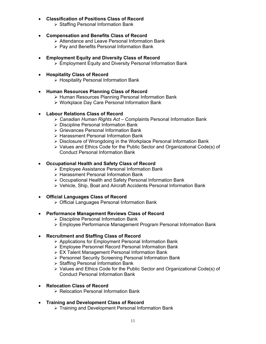#### • **[Classification of Positions Class of Record](https://www.canada.ca/en/treasury-board-secretariat/services/access-information-privacy/access-information/information-about-programs-information-holdings/standard-classes-records.html#prn919)**

- [Staffing Personal Information Bank](https://www.canada.ca/en/treasury-board-secretariat/services/access-information-privacy/access-information/information-about-programs-information-holdings/standard-personal-information-banks.html#pse902)
- **Compensation [and Benefits Class of Record](https://www.canada.ca/en/treasury-board-secretariat/services/access-information-privacy/access-information/information-about-programs-information-holdings/standard-classes-records.html#prn941)**
	- [Attendance and Leave Personal Information Bank](https://www.canada.ca/en/treasury-board-secretariat/services/access-information-privacy/access-information/information-about-programs-information-holdings/standard-personal-information-banks.html#pse903)
	- [Pay and Benefits Personal Information Bank](https://www.canada.ca/en/treasury-board-secretariat/services/access-information-privacy/access-information/information-about-programs-information-holdings/standard-personal-information-banks.html#pse904)

#### • **[Employment Equity and Diversity Class of Record](https://www.canada.ca/en/treasury-board-secretariat/services/access-information-privacy/access-information/information-about-programs-information-holdings/standard-classes-records.html#prn942)**

• [Employment Equity and Diversity Personal Information Bank](https://www.canada.ca/en/treasury-board-secretariat/services/access-information-privacy/access-information/information-about-programs-information-holdings/standard-personal-information-banks.html#pse918)

#### • **[Hospitality Class of Record](https://www.canada.ca/en/treasury-board-secretariat/services/access-information-privacy/access-information/information-about-programs-information-holdings/standard-classes-records.html#prn933)**

- [Hospitality Personal Information Bank](https://www.canada.ca/en/treasury-board-secretariat/services/access-information-privacy/access-information/information-about-programs-information-holdings/standard-personal-information-banks.html#psu908)
- **[Human Resources Planning Class of Record](https://www.canada.ca/en/treasury-board-secretariat/services/access-information-privacy/access-information/information-about-programs-information-holdings/standard-classes-records.html#prn949)**
	- [Human Resources Planning Personal](https://www.canada.ca/en/treasury-board-secretariat/services/access-information-privacy/access-information/information-about-programs-information-holdings/standard-personal-information-banks.html#psu935) Information Bank
	- [Workplace Day Care Personal Information Bank](https://www.canada.ca/en/treasury-board-secretariat/services/access-information-privacy/access-information/information-about-programs-information-holdings/standard-personal-information-banks.html#pse930)

#### • **[Labour Relations Class of Record](https://www.canada.ca/en/treasury-board-secretariat/services/access-information-privacy/access-information/information-about-programs-information-holdings/standard-classes-records.html#prn926)**

- *Canadian Human Rights Act*  [Complaints Personal Information Bank](https://www.canada.ca/en/treasury-board-secretariat/services/access-information-privacy/access-information/information-about-programs-information-holdings/standard-personal-information-banks.html#psu933)
- [Discipline Personal Information Bank](https://www.canada.ca/en/treasury-board-secretariat/services/access-information-privacy/access-information/information-about-programs-information-holdings/standard-personal-information-banks.html#pse911)
- [Grievances Personal Information Bank](https://www.canada.ca/en/treasury-board-secretariat/services/access-information-privacy/access-information/information-about-programs-information-holdings/standard-personal-information-banks.html#pse910)
- [Harassment Personal Information Bank](https://www.canada.ca/en/treasury-board-secretariat/services/access-information-privacy/access-information/information-about-programs-information-holdings/standard-personal-information-banks.html#pse919)
- [Disclosure of Wrongdoing in the Workplace Personal Information Bank](https://www.canada.ca/en/treasury-board-secretariat/services/access-information-privacy/access-information/information-about-programs-information-holdings/standard-personal-information-banks.html#psu906)
- [Values and Ethics Code for the Public Sector and Organizational Code\(s\) of](https://www.canada.ca/en/treasury-board-secretariat/services/access-information-privacy/access-information/information-about-programs-information-holdings/standard-personal-information-banks.html#pse915) Conduct Personal Information Bank

#### • **[Occupational Health and Safety Class of Record](https://www.canada.ca/en/treasury-board-secretariat/services/access-information-privacy/access-information/information-about-programs-information-holdings/standard-classes-records.html#prn922)**

- [Employee Assistance Personal Information Bank](https://www.canada.ca/en/treasury-board-secretariat/services/access-information-privacy/access-information/information-about-programs-information-holdings/standard-personal-information-banks.html#pse916)
- [Harassment Personal Information Bank](https://www.canada.ca/en/treasury-board-secretariat/services/access-information-privacy/access-information/information-about-programs-information-holdings/standard-personal-information-banks.html#pse919)
- [Occupational Health and Safety Personal Information Bank](https://www.canada.ca/en/treasury-board-secretariat/services/access-information-privacy/access-information/information-about-programs-information-holdings/standard-personal-information-banks.html#pse907)
- [Vehicle, Ship, Boat and Aircraft Accidents Personal Information Bank](https://www.canada.ca/en/treasury-board-secretariat/services/access-information-privacy/access-information/information-about-programs-information-holdings/standard-personal-information-banks.html#pse908)

#### • **[Official Languages Class of Record](https://www.canada.ca/en/treasury-board-secretariat/services/access-information-privacy/access-information/information-about-programs-information-holdings/standard-classes-records.html#prn923)**

• [Official Languages Personal Information Bank](https://www.canada.ca/en/treasury-board-secretariat/services/access-information-privacy/access-information/information-about-programs-information-holdings/standard-personal-information-banks.html#pse906)

#### • **[Performance Management Reviews Class of Record](https://www.canada.ca/en/treasury-board-secretariat/services/access-information-privacy/access-information/information-about-programs-information-holdings/standard-classes-records.html#prn946)**

- [Discipline Personal Information Bank](https://www.canada.ca/en/treasury-board-secretariat/services/access-information-privacy/access-information/information-about-programs-information-holdings/standard-personal-information-banks.html#pse911)
- [Employee Performance Management Program Personal Information Bank](https://www.canada.ca/en/treasury-board-secretariat/services/access-information-privacy/access-information/information-about-programs-information-holdings/standard-personal-information-banks.html#pse912)

#### • **[Recruitment and Staffing Class of Record](https://www.canada.ca/en/treasury-board-secretariat/services/access-information-privacy/access-information/information-about-programs-information-holdings/standard-classes-records.html#prn920)**

- $\triangleright$  [Applications for Employment Personal Information Bank](https://www.canada.ca/en/treasury-board-secretariat/services/access-information-privacy/access-information/information-about-programs-information-holdings/standard-personal-information-banks.html#psu911)
- [Employee Personnel Record Personal Information Bank](https://www.canada.ca/en/treasury-board-secretariat/services/access-information-privacy/access-information/information-about-programs-information-holdings/standard-personal-information-banks.html#pse901)
- [EX Talent Management Personal Information Bank](https://www.canada.ca/en/treasury-board-secretariat/services/access-information-privacy/access-information/information-about-programs-information-holdings/standard-personal-information-banks.html#psu934)
- [Personnel Security Screening Personal Information Bank](https://www.canada.ca/en/treasury-board-secretariat/services/access-information-privacy/access-information/information-about-programs-information-holdings/standard-personal-information-banks.html#psu917)
- [Staffing Personal Information Bank](https://www.canada.ca/en/treasury-board-secretariat/services/access-information-privacy/access-information/information-about-programs-information-holdings/standard-personal-information-banks.html#pse902)
- [Values and Ethics Code for the Public Sector and Organizational Code\(s\) of](https://www.canada.ca/en/treasury-board-secretariat/services/access-information-privacy/access-information/information-about-programs-information-holdings/standard-personal-information-banks.html#pse915) Conduct Personal Information Bank

#### • **[Relocation Class of Record](https://www.canada.ca/en/treasury-board-secretariat/services/access-information-privacy/access-information/information-about-programs-information-holdings/standard-classes-records.html#prn936)**

• [Relocation Personal Information Bank](https://www.canada.ca/en/treasury-board-secretariat/services/access-information-privacy/access-information/information-about-programs-information-holdings/standard-personal-information-banks.html#psu910)

#### • **[Training and Development Class of Record](https://www.canada.ca/en/treasury-board-secretariat/services/access-information-privacy/access-information/information-about-programs-information-holdings/standard-classes-records.html#prn927)**

• [Training and Development Personal Information Bank](https://www.canada.ca/en/treasury-board-secretariat/services/access-information-privacy/access-information/information-about-programs-information-holdings/standard-personal-information-banks.html#pse905)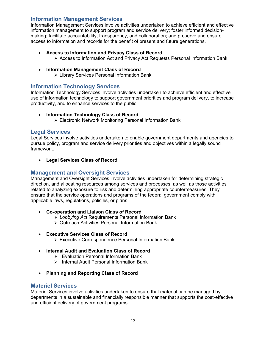### <span id="page-11-0"></span>**Information Management Services**

Information Management Services involve activities undertaken to achieve efficient and effective information management to support program and service delivery; foster informed decisionmaking; facilitate accountability, transparency, and collaboration; and preserve and ensure access to information and records for the benefit of present and future generations.

- **[Access to Information and Privacy Class of Record](https://www.canada.ca/en/treasury-board-secretariat/services/access-information-privacy/access-information/information-about-programs-information-holdings/standard-classes-records.html#prn930)**
	- [Access to Information Act and Privacy Act Requests Personal Information Bank](https://www.canada.ca/en/treasury-board-secretariat/services/access-information-privacy/access-information/information-about-programs-information-holdings/standard-personal-information-banks.html#psu901)
- **[Information Management Class of Record](https://www.canada.ca/en/treasury-board-secretariat/services/access-information-privacy/access-information/information-about-programs-information-holdings/standard-classes-records.html#prn944)**
	- [Library Services Personal Information Bank](https://www.canada.ca/en/treasury-board-secretariat/services/access-information-privacy/access-information/information-about-programs-information-holdings/standard-personal-information-banks.html#psu936)

#### <span id="page-11-1"></span>**Information Technology Services**

Information Technology Services involve activities undertaken to achieve efficient and effective use of information technology to support government priorities and program delivery, to increase productivity, and to enhance services to the public.

- **[Information Technology Class of Record](https://www.canada.ca/en/treasury-board-secretariat/services/access-information-privacy/access-information/information-about-programs-information-holdings/standard-classes-records.html#prn932)**
	- [Electronic Network Monitoring Personal Information Bank](https://www.canada.ca/en/treasury-board-secretariat/services/access-information-privacy/access-information/information-about-programs-information-holdings/standard-personal-information-banks.html#psu905)

#### <span id="page-11-2"></span>**Legal Services**

Legal Services involve activities undertaken to enable government departments and agencies to pursue policy, program and service delivery priorities and objectives within a legally sound framework.

• **[Legal Services Class of Record](https://www.canada.ca/en/treasury-board-secretariat/services/access-information-privacy/access-information/information-about-programs-information-holdings/standard-classes-records.html#prn902)**

#### <span id="page-11-3"></span>**Management and Oversight Services**

Management and Oversight Services involve activities undertaken for determining strategic direction, and allocating resources among services and processes, as well as those activities related to analyzing exposure to risk and determining appropriate countermeasures. They ensure that the service operations and programs of the federal government comply with applicable laws, regulations, policies, or plans.

- **[Co-operation and Liaison Class of Record](https://www.canada.ca/en/treasury-board-secretariat/services/access-information-privacy/access-information/information-about-programs-information-holdings/standard-classes-records.html#prn904)**
	- *Lobbying Act* [Requirements Personal Information Bank](https://www.canada.ca/en/treasury-board-secretariat/services/access-information-privacy/access-information/information-about-programs-information-holdings/standard-personal-information-banks.html#psu937)
	- [Outreach Activities Personal Information Bank](https://www.canada.ca/en/treasury-board-secretariat/services/access-information-privacy/access-information/information-about-programs-information-holdings/standard-personal-information-banks.html#psu938)
- **[Executive Services Class of Record](https://www.canada.ca/en/treasury-board-secretariat/services/access-information-privacy/access-information/information-about-programs-information-holdings/standard-classes-records.html#prn943)**
	- [Executive Correspondence Personal Information Bank](https://www.canada.ca/en/treasury-board-secretariat/services/access-information-privacy/access-information/information-about-programs-information-holdings/standard-personal-information-banks.html#psu902)
- **[Internal Audit and Evaluation Class of Record](https://www.canada.ca/en/treasury-board-secretariat/services/access-information-privacy/access-information/information-about-programs-information-holdings/standard-classes-records.html#prn916)**
	- [Evaluation Personal Information Bank](https://www.canada.ca/en/treasury-board-secretariat/services/access-information-privacy/access-information/information-about-programs-information-holdings/standard-personal-information-banks.html#psu942)
	- [Internal Audit Personal Information Bank](https://www.canada.ca/en/treasury-board-secretariat/services/access-information-privacy/access-information/information-about-programs-information-holdings/standard-personal-information-banks.html#psu941)
- **[Planning and Reporting Class of Record](https://www.canada.ca/en/treasury-board-secretariat/services/access-information-privacy/access-information/information-about-programs-information-holdings/standard-classes-records.html#prn947)**

#### <span id="page-11-4"></span>**Materiel Services**

Materiel Services involve activities undertaken to ensure that material can be managed by departments in a sustainable and financially responsible manner that supports the cost-effective and efficient delivery of government programs.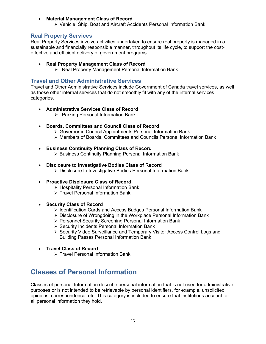#### • **[Material Management Class of Record](https://www.canada.ca/en/treasury-board-secretariat/services/access-information-privacy/access-information/information-about-programs-information-holdings/standard-classes-records.html#prn945)**

• [Vehicle, Ship, Boat and Aircraft Accidents Personal Information Bank](https://www.canada.ca/en/treasury-board-secretariat/services/access-information-privacy/access-information/information-about-programs-information-holdings/standard-personal-information-banks.html#pse908) 

#### <span id="page-12-0"></span>**Real Property Services**

Real Property Services involve activities undertaken to ensure real property is managed in a sustainable and financially responsible manner, throughout its life cycle, to support the costeffective and efficient delivery of government programs.

- **[Real Property Management Class of Record](https://www.canada.ca/en/treasury-board-secretariat/services/access-information-privacy/access-information/information-about-programs-information-holdings/standard-classes-records.html#prn948)**
	- [Real Property Management Personal Information Bank](https://www.canada.ca/en/treasury-board-secretariat/services/access-information-privacy/access-information/information-about-programs-information-holdings/standard-personal-information-banks.html#psu914a)

#### <span id="page-12-1"></span>**Travel and Other Administrative Services**

Travel and Other Administrative Services include Government of Canada travel services, as well as those other internal services that do not smoothly fit with any of the internal services categories.

- **[Administrative Services Class of Record](https://www.canada.ca/en/treasury-board-secretariat/services/access-information-privacy/access-information/information-about-programs-information-holdings/standard-classes-records.html#prn901)**
	- [Parking Personal Information Bank](https://www.canada.ca/en/treasury-board-secretariat/services/access-information-privacy/access-information/information-about-programs-information-holdings/standard-personal-information-banks.html#pse914)
- **[Boards, Committees and Council Class of Record](https://www.canada.ca/en/treasury-board-secretariat/services/access-information-privacy/access-information/information-about-programs-information-holdings/standard-classes-records.html#prn938)**
	- [Governor in Council Appointments Personal Information Bank](https://www.canada.ca/en/treasury-board-secretariat/services/access-information-privacy/access-information/information-about-programs-information-holdings/standard-personal-information-banks.html#psu918)
	- [Members of Boards, Committees and Councils Personal Information Bank](https://www.canada.ca/en/treasury-board-secretariat/services/access-information-privacy/access-information/information-about-programs-information-holdings/standard-personal-information-banks.html#psu919)
- **[Business Continuity Planning Class of Record](https://www.canada.ca/en/treasury-board-secretariat/services/access-information-privacy/access-information/information-about-programs-information-holdings/standard-classes-records.html#prn928)**
	- [Business Continuity Planning Personal Information Bank](https://www.canada.ca/en/treasury-board-secretariat/services/access-information-privacy/access-information/information-about-programs-information-holdings/standard-personal-information-banks.html#psu903)
- **[Disclosure to Investigative Bodies Class of Record](https://www.canada.ca/en/treasury-board-secretariat/services/access-information-privacy/access-information/information-about-programs-information-holdings/standard-classes-records.html#prn937)**
	- Disclosure to Investigative [Bodies Personal Information Bank](https://www.canada.ca/en/treasury-board-secretariat/services/access-information-privacy/access-information/information-about-programs-information-holdings/standard-personal-information-banks.html#psu913)
- **[Proactive Disclosure Class of Record](https://www.canada.ca/en/treasury-board-secretariat/services/access-information-privacy/access-information/information-about-programs-information-holdings/standard-classes-records.html#prn935)**
	- [Hospitality Personal Information Bank](https://www.canada.ca/en/treasury-board-secretariat/services/access-information-privacy/access-information/information-about-programs-information-holdings/standard-personal-information-banks.html#psu908)
	- [Travel Personal Information Bank](https://www.canada.ca/en/treasury-board-secretariat/services/access-information-privacy/access-information/information-about-programs-information-holdings/standard-personal-information-banks.html#psu909)
- **[Security Class of Record](https://www.canada.ca/en/treasury-board-secretariat/services/access-information-privacy/access-information/information-about-programs-information-holdings/standard-classes-records.html#prn931)**
	- [Identification Cards and Access Badges Personal Information Bank](https://www.canada.ca/en/treasury-board-secretariat/services/access-information-privacy/access-information/information-about-programs-information-holdings/standard-personal-information-banks.html#pse917)
	- [Disclosure of Wrongdoing in the Workplace Personal Information Bank](https://www.canada.ca/en/treasury-board-secretariat/services/access-information-privacy/access-information/information-about-programs-information-holdings/standard-personal-information-banks.html#psu906)
	- [Personnel Security Screening Personal Information Bank](https://www.canada.ca/en/treasury-board-secretariat/services/access-information-privacy/access-information/information-about-programs-information-holdings/standard-personal-information-banks.html#psu917)
	- [Security Incidents Personal Information Bank](https://www.canada.ca/en/treasury-board-secretariat/services/access-information-privacy/access-information/information-about-programs-information-holdings/standard-personal-information-banks.html#psu939)
	- [Security Video Surveillance and Temporary Visitor Access Control Logs and](https://www.canada.ca/en/treasury-board-secretariat/services/access-information-privacy/access-information/information-about-programs-information-holdings/standard-personal-information-banks.html#psu9072)  Building Passes Personal Information Bank
- **[Travel Class of Record](https://www.canada.ca/en/treasury-board-secretariat/services/access-information-privacy/access-information/information-about-programs-information-holdings/standard-classes-records.html#prn934)**
	- [Travel Personal Information Bank](https://www.canada.ca/en/treasury-board-secretariat/services/access-information-privacy/access-information/information-about-programs-information-holdings/standard-personal-information-banks.html#psu909)

## <span id="page-12-2"></span>**Classes of Personal Information**

Classes of personal Information describe personal information that is not used for administrative purposes or is not intended to be retrievable by personal identifiers, for example, unsolicited opinions, correspondence, etc. This category is included to ensure that institutions account for all personal information they hold.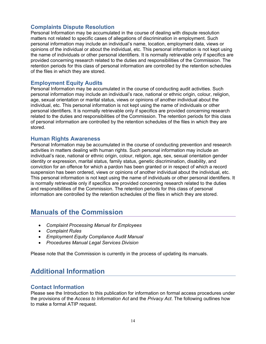### <span id="page-13-0"></span>**Complaints Dispute Resolution**

Personal Information may be accumulated in the course of dealing with dispute resolution matters not related to specific cases of allegations of discrimination in employment. Such personal information may include an individual's name, location, employment data, views or opinions of the individual or about the individual, etc. This personal information is not kept using the name of individuals or other personal identifiers. It is normally retrievable only if specifics are provided concerning research related to the duties and responsibilities of the Commission. The retention periods for this class of personal information are controlled by the retention schedules of the files in which they are stored.

#### <span id="page-13-1"></span>**Employment Equity Audits**

Personal Information may be accumulated in the course of conducting audit activities. Such personal information may include an individual's race, national or ethnic origin, colour, religion, age, sexual orientation or marital status, views or opinions of another individual about the individual, etc. This personal information is not kept using the name of individuals or other personal identifiers. It is normally retrievable only if specifics are provided concerning research related to the duties and responsibilities of the Commission. The retention periods for this class of personal information are controlled by the retention schedules of the files in which they are stored.

#### <span id="page-13-2"></span>**Human Rights Awareness**

Personal Information may be accumulated in the course of conducting prevention and research activities in matters dealing with human rights. Such personal information may include an individual's race, national or ethnic origin, colour, religion, age, sex, sexual orientation gender identity or expression, marital status, family status, genetic discrimination, disability, and conviction for an offence for which a pardon has been granted or in respect of which a record suspension has been ordered, views or opinions of another individual about the individual, etc. This personal information is not kept using the name of individuals or other personal identifiers. It is normally retrievable only if specifics are provided concerning research related to the duties and responsibilities of the Commission. The retention periods for this class of personal information are controlled by the retention schedules of the files in which they are stored.

## <span id="page-13-3"></span>**Manuals of the Commission**

- *Complaint Processing Manual for Employees*
- *Complaint Rules*
- *Employment Equity Compliance Audit Manual*
- *Procedures Manual Legal Services Division*

Please note that the Commission is currently in the process of updating its manuals.

## <span id="page-13-4"></span>**Additional Information**

#### <span id="page-13-5"></span>**Contact Information**

Please see the [Introduction](https://www.canada.ca/en/treasury-board-secretariat/services/access-information-privacy/access-information/information-about-programs-information-holdings.html) to this publication for information on formal access procedures under the provisions of the *Access to Information Act* and the *Privacy Act*. The following outlines how to make a formal ATIP request.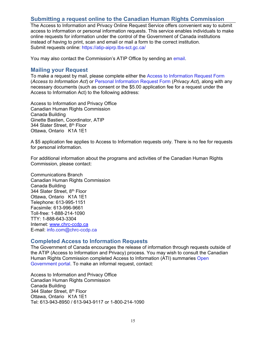### <span id="page-14-0"></span>**[Submitting a request online to the Canadian Human Rights Commission](https://www.chrc-ccdp.gc.ca/eng/content/requesting-information-under-access-information-act-and-privacy-act#1)**

The Access to Information and Privacy Online Request Service offers convenient way to submit access to information or personal information requests. This service enables individuals to make online requests for information under the control of the Government of Canada institutions instead of having to print, scan and email or mail a form to the correct institution. Submit requests online: <https://atip-aiprp.tbs-sct.gc.ca/>

You may also contact the Commission's ATIP Office by sending an [email.](mailto:ATIP.AIPRP@chrc-ccdp.gc.ca)

#### <span id="page-14-1"></span>**Mailing your Request**

To make a request by mail, please complete either the [Access to Information Request Form](http://www.tbs-sct.gc.ca/tbsf-fsct/350-57-eng.asp) (*Access to Information Act*) or [Personal Information Request Form](http://www.tbs-sct.gc.ca/tbsf-fsct/350-58-eng.asp) (*Privacy Act*), along with any necessary documents (such as consent or the \$5.00 application fee for a request under the Access to Information Act) to the following address:

Access to Information and Privacy Office Canadian Human Rights Commission Canada Building Ginette Bastien, Coordinator, ATIP 344 Slater Street, 8<sup>th</sup> Floor Ottawa, Ontario K1A 1E1

A [\\$5 application fee](file:////Omega.dce-eir.net/atipo-baiprp/docs/ai-ai-req-eng.asp#fee) applies to Access to Information requests only. There is no fee for requests for personal information.

For additional information about the programs and activities of the Canadian Human Rights Commission, please contact:

Communications Branch Canadian Human Rights Commission Canada Building 344 Slater Street, 8<sup>th</sup> Floor Ottawa, Ontario K1A 1E1 Telephone: 613-995-1151 Facsimile: 613-996-9661 Toll-free: 1-888-214-1090 TTY: 1-888-643-3304 Internet: [www.chrc-ccdp.ca](http://www.chrc-ccdp.ca/) E-mail: [info.com@chrc-ccdp.ca](mailto:info.com@chrc-ccdp.ca)

#### <span id="page-14-2"></span>**Completed Access to Information Requests**

The Government of Canada encourages the release of information through requests outside of the ATIP (Access to Information and Privacy) process. You may wish to consult the Canadian Human Rights Commission completed Access to Information (ATI) summaries Open [Government portal. To make an informal request, contact:](https://open.canada.ca/en/search/ati?f%5B0%5D=ss_ati_organization_en%3ACanadian%20Human%20Rights%20Commission&ati%5B0%5D=ss_ati_organization_en%3ACanadian%20Human%20Rights%20Commission&search_api_fulltext=&sort_by=year)

Access to Information and Privacy Office Canadian Human Rights Commission Canada Building 344 Slater Street, 8<sup>th</sup> Floor Ottawa, Ontario K1A 1E1 Tel: 613-943-8950 / 613-943-9117 or 1-800-214-1090